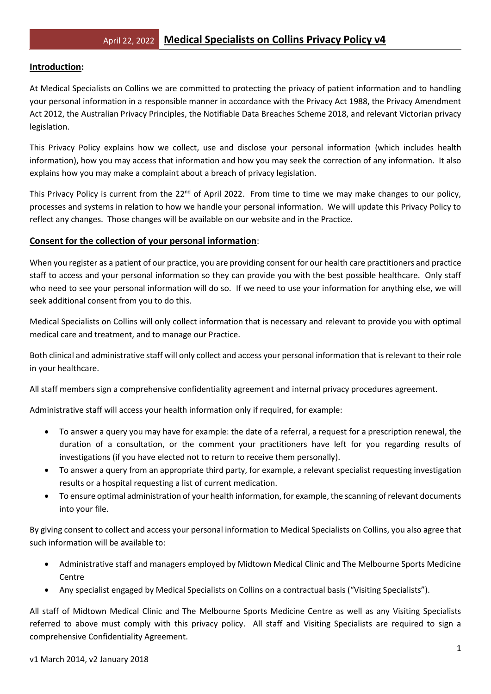### **Introduction:**

At Medical Specialists on Collins we are committed to protecting the privacy of patient information and to handling your personal information in a responsible manner in accordance with the Privacy Act 1988, the Privacy Amendment Act 2012, the Australian Privacy Principles, the Notifiable Data Breaches Scheme 2018, and relevant Victorian privacy legislation.

This Privacy Policy explains how we collect, use and disclose your personal information (which includes health information), how you may access that information and how you may seek the correction of any information. It also explains how you may make a complaint about a breach of privacy legislation.

This Privacy Policy is current from the  $22^{nd}$  of April 2022. From time to time we may make changes to our policy, processes and systems in relation to how we handle your personal information. We will update this Privacy Policy to reflect any changes. Those changes will be available on our website and in the Practice.

## **Consent for the collection of your personal information**:

When you register as a patient of our practice, you are providing consent for our health care practitioners and practice staff to access and your personal information so they can provide you with the best possible healthcare. Only staff who need to see your personal information will do so. If we need to use your information for anything else, we will seek additional consent from you to do this.

Medical Specialists on Collins will only collect information that is necessary and relevant to provide you with optimal medical care and treatment, and to manage our Practice.

Both clinical and administrative staff will only collect and access your personal information that is relevant to their role in your healthcare.

All staff members sign a comprehensive confidentiality agreement and internal privacy procedures agreement.

Administrative staff will access your health information only if required, for example:

- To answer a query you may have for example: the date of a referral, a request for a prescription renewal, the duration of a consultation, or the comment your practitioners have left for you regarding results of investigations (if you have elected not to return to receive them personally).
- To answer a query from an appropriate third party, for example, a relevant specialist requesting investigation results or a hospital requesting a list of current medication.
- To ensure optimal administration of your health information, for example, the scanning of relevant documents into your file.

By giving consent to collect and access your personal information to Medical Specialists on Collins, you also agree that such information will be available to:

- Administrative staff and managers employed by Midtown Medical Clinic and The Melbourne Sports Medicine Centre
- Any specialist engaged by Medical Specialists on Collins on a contractual basis ("Visiting Specialists").

All staff of Midtown Medical Clinic and The Melbourne Sports Medicine Centre as well as any Visiting Specialists referred to above must comply with this privacy policy. All staff and Visiting Specialists are required to sign a comprehensive Confidentiality Agreement.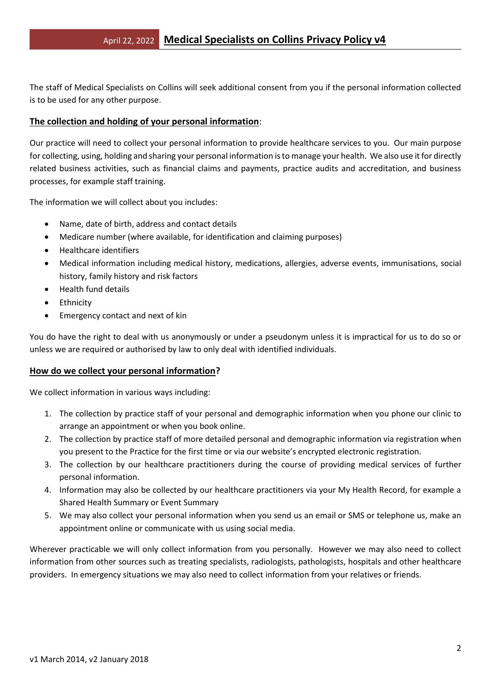The staff of Medical Specialists on Collins will seek additional consent from you if the personal information collected is to be used for any other purpose.

## **The collection and holding of your personal information**:

Our practice will need to collect your personal information to provide healthcare services to you. Our main purpose for collecting, using, holding and sharing your personal information is to manage your health. We also use it for directly related business activities, such as financial claims and payments, practice audits and accreditation, and business processes, for example staff training.

The information we will collect about you includes:

- Name, date of birth, address and contact details
- Medicare number (where available, for identification and claiming purposes)
- Healthcare identifiers
- Medical information including medical history, medications, allergies, adverse events, immunisations, social history, family history and risk factors
- Health fund details
- Ethnicity
- Emergency contact and next of kin

You do have the right to deal with us anonymously or under a pseudonym unless it is impractical for us to do so or unless we are required or authorised by law to only deal with identified individuals.

#### **How do we collect your personal information?**

We collect information in various ways including:

- 1. The collection by practice staff of your personal and demographic information when you phone our clinic to arrange an appointment or when you book online.
- 2. The collection by practice staff of more detailed personal and demographic information via registration when you present to the Practice for the first time or via our website's encrypted electronic registration.
- 3. The collection by our healthcare practitioners during the course of providing medical services of further personal information.
- 4. Information may also be collected by our healthcare practitioners via your My Health Record, for example a Shared Health Summary or Event Summary
- 5. We may also collect your personal information when you send us an email or SMS or telephone us, make an appointment online or communicate with us using social media.

Wherever practicable we will only collect information from you personally. However we may also need to collect information from other sources such as treating specialists, radiologists, pathologists, hospitals and other healthcare providers. In emergency situations we may also need to collect information from your relatives or friends.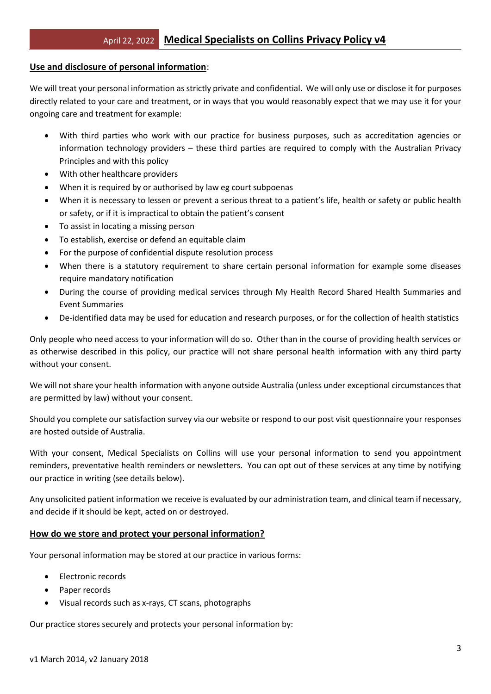### **Use and disclosure of personal information**:

We will treat your personal information as strictly private and confidential. We will only use or disclose it for purposes directly related to your care and treatment, or in ways that you would reasonably expect that we may use it for your ongoing care and treatment for example:

- With third parties who work with our practice for business purposes, such as accreditation agencies or information technology providers – these third parties are required to comply with the Australian Privacy Principles and with this policy
- With other healthcare providers
- When it is required by or authorised by law eg court subpoenas
- When it is necessary to lessen or prevent a serious threat to a patient's life, health or safety or public health or safety, or if it is impractical to obtain the patient's consent
- To assist in locating a missing person
- To establish, exercise or defend an equitable claim
- For the purpose of confidential dispute resolution process
- When there is a statutory requirement to share certain personal information for example some diseases require mandatory notification
- During the course of providing medical services through My Health Record Shared Health Summaries and Event Summaries
- De-identified data may be used for education and research purposes, or for the collection of health statistics

Only people who need access to your information will do so. Other than in the course of providing health services or as otherwise described in this policy, our practice will not share personal health information with any third party without your consent.

We will not share your health information with anyone outside Australia (unless under exceptional circumstances that are permitted by law) without your consent.

Should you complete our satisfaction survey via our website or respond to our post visit questionnaire your responses are hosted outside of Australia.

With your consent, Medical Specialists on Collins will use your personal information to send you appointment reminders, preventative health reminders or newsletters. You can opt out of these services at any time by notifying our practice in writing (see details below).

Any unsolicited patient information we receive is evaluated by our administration team, and clinical team if necessary, and decide if it should be kept, acted on or destroyed.

## **How do we store and protect your personal information?**

Your personal information may be stored at our practice in various forms:

- Electronic records
- Paper records
- Visual records such as x-rays, CT scans, photographs

Our practice stores securely and protects your personal information by: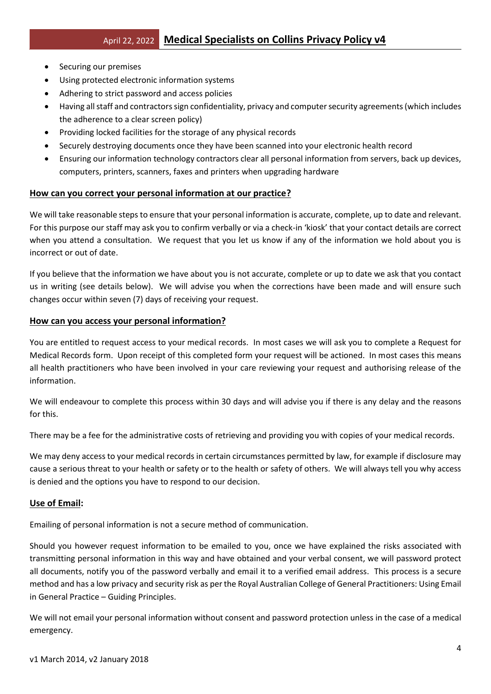- Securing our premises
- Using protected electronic information systems
- Adhering to strict password and access policies
- Having all staff and contractors sign confidentiality, privacy and computer security agreements (which includes the adherence to a clear screen policy)
- Providing locked facilities for the storage of any physical records
- Securely destroying documents once they have been scanned into your electronic health record
- Ensuring our information technology contractors clear all personal information from servers, back up devices, computers, printers, scanners, faxes and printers when upgrading hardware

## **How can you correct your personal information at our practice?**

We will take reasonable steps to ensure that your personal information is accurate, complete, up to date and relevant. For this purpose our staff may ask you to confirm verbally or via a check-in 'kiosk' that your contact details are correct when you attend a consultation. We request that you let us know if any of the information we hold about you is incorrect or out of date.

If you believe that the information we have about you is not accurate, complete or up to date we ask that you contact us in writing (see details below). We will advise you when the corrections have been made and will ensure such changes occur within seven (7) days of receiving your request.

### **How can you access your personal information?**

You are entitled to request access to your medical records. In most cases we will ask you to complete a Request for Medical Records form. Upon receipt of this completed form your request will be actioned. In most cases this means all health practitioners who have been involved in your care reviewing your request and authorising release of the information.

We will endeavour to complete this process within 30 days and will advise you if there is any delay and the reasons for this.

There may be a fee for the administrative costs of retrieving and providing you with copies of your medical records.

We may deny access to your medical records in certain circumstances permitted by law, for example if disclosure may cause a serious threat to your health or safety or to the health or safety of others. We will always tell you why access is denied and the options you have to respond to our decision.

## **Use of Email:**

Emailing of personal information is not a secure method of communication.

Should you however request information to be emailed to you, once we have explained the risks associated with transmitting personal information in this way and have obtained and your verbal consent, we will password protect all documents, notify you of the password verbally and email it to a verified email address. This process is a secure method and has a low privacy and security risk as per the Royal Australian College of General Practitioners: Using Email in General Practice – Guiding Principles.

We will not email your personal information without consent and password protection unless in the case of a medical emergency.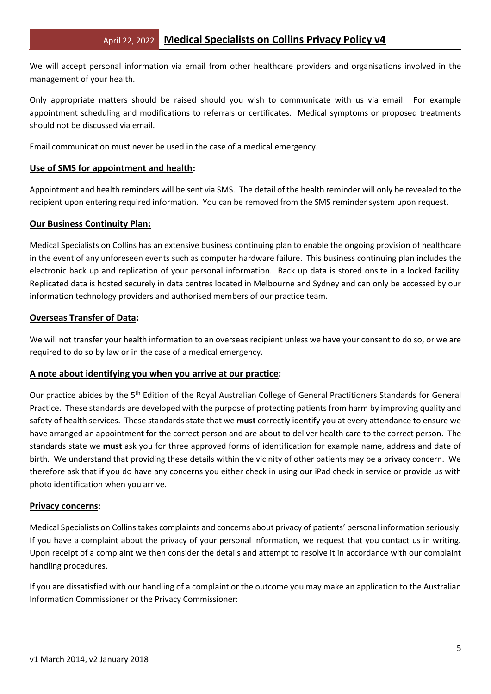We will accept personal information via email from other healthcare providers and organisations involved in the management of your health.

Only appropriate matters should be raised should you wish to communicate with us via email. For example appointment scheduling and modifications to referrals or certificates. Medical symptoms or proposed treatments should not be discussed via email.

Email communication must never be used in the case of a medical emergency.

### **Use of SMS for appointment and health:**

Appointment and health reminders will be sent via SMS. The detail of the health reminder will only be revealed to the recipient upon entering required information. You can be removed from the SMS reminder system upon request.

### **Our Business Continuity Plan:**

Medical Specialists on Collins has an extensive business continuing plan to enable the ongoing provision of healthcare in the event of any unforeseen events such as computer hardware failure. This business continuing plan includes the electronic back up and replication of your personal information. Back up data is stored onsite in a locked facility. Replicated data is hosted securely in data centres located in Melbourne and Sydney and can only be accessed by our information technology providers and authorised members of our practice team.

### **Overseas Transfer of Data:**

We will not transfer your health information to an overseas recipient unless we have your consent to do so, or we are required to do so by law or in the case of a medical emergency.

#### **A note about identifying you when you arrive at our practice:**

Our practice abides by the 5<sup>th</sup> Edition of the Royal Australian College of General Practitioners Standards for General Practice. These standards are developed with the purpose of protecting patients from harm by improving quality and safety of health services. These standards state that we **must** correctly identify you at every attendance to ensure we have arranged an appointment for the correct person and are about to deliver health care to the correct person. The standards state we **must** ask you for three approved forms of identification for example name, address and date of birth. We understand that providing these details within the vicinity of other patients may be a privacy concern. We therefore ask that if you do have any concerns you either check in using our iPad check in service or provide us with photo identification when you arrive.

#### **Privacy concerns**:

Medical Specialists on Collins takes complaints and concerns about privacy of patients' personal information seriously. If you have a complaint about the privacy of your personal information, we request that you contact us in writing. Upon receipt of a complaint we then consider the details and attempt to resolve it in accordance with our complaint handling procedures.

If you are dissatisfied with our handling of a complaint or the outcome you may make an application to the Australian Information Commissioner or the Privacy Commissioner: